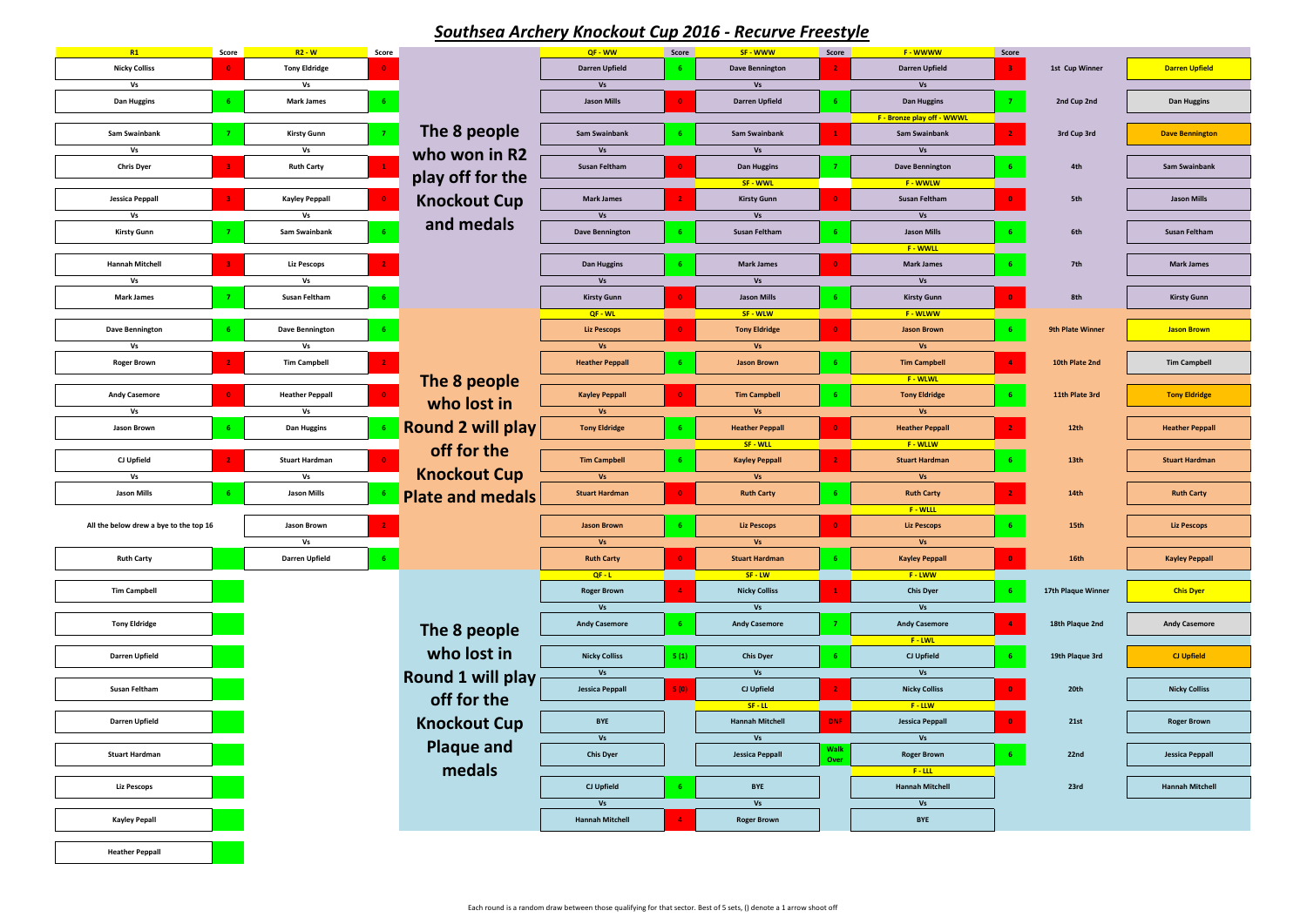| R1                                     | Score       | $R2 - W$               | Score          |                          | QF - WW                | Score          | <b>SF-WWW</b>          | Score        | F-WWWW                     | Score        |                    |                        |
|----------------------------------------|-------------|------------------------|----------------|--------------------------|------------------------|----------------|------------------------|--------------|----------------------------|--------------|--------------------|------------------------|
| <b>Nicky Colliss</b>                   | $\mathbf 0$ | <b>Tony Eldridge</b>   | $\bullet$      |                          | <b>Darren Upfield</b>  |                | <b>Dave Bennington</b> |              | <b>Darren Upfield</b>      |              | 1st Cup Winner     | <b>Darren Upfield</b>  |
| Vs                                     |             | Vs                     |                |                          | <b>Vs</b>              |                | <b>Vs</b>              |              | Vs                         |              |                    |                        |
| Dan Huggins                            |             | <b>Mark James</b>      | 6.             |                          | Jason Mills            | $\mathbf{0}$   | Darren Upfield         |              | <b>Dan Huggins</b>         |              | 2nd Cup 2nd        | Dan Huggins            |
|                                        |             |                        |                |                          |                        |                |                        |              |                            |              |                    |                        |
|                                        |             |                        |                |                          |                        |                |                        |              | F - Bronze play off - WWWL |              |                    |                        |
| Sam Swainbank                          |             | <b>Kirsty Gunn</b>     |                | The 8 people             | <b>Sam Swainbank</b>   |                | Sam Swainbank          |              | <b>Sam Swainbank</b>       |              | 3rd Cup 3rd        | <b>Dave Bennington</b> |
| Vs                                     |             | Vs                     |                | who won in R2            | <b>Vs</b>              |                | <b>Vs</b>              |              | <b>Vs</b>                  |              |                    |                        |
| <b>Chris Dyer</b>                      |             | <b>Ruth Carty</b>      |                |                          | <b>Susan Feltham</b>   | $\mathbf{0}$   | <b>Dan Huggins</b>     |              | <b>Dave Bennington</b>     |              | 4th                | Sam Swainbank          |
|                                        |             |                        |                | play off for the         |                        |                | <b>SF-WWL</b>          |              | <b>F-WWLW</b>              |              |                    |                        |
| Jessica Peppall                        |             | <b>Kayley Peppall</b>  | $\bullet$      | <b>Knockout Cup</b>      | <b>Mark James</b>      |                | <b>Kirsty Gunn</b>     |              | <b>Susan Feltham</b>       |              | 5th                | <b>Jason Mills</b>     |
| Vs                                     |             | Vs                     |                |                          | <b>Vs</b>              |                | <b>Vs</b>              |              | <b>Vs</b>                  |              |                    |                        |
| Kirsty Gunn                            |             | Sam Swainbank          |                | and medals               | <b>Dave Bennington</b> |                | <b>Susan Feltham</b>   |              | <b>Jason Mills</b>         |              | 6th                | <b>Susan Feltham</b>   |
|                                        |             |                        |                |                          |                        |                |                        |              |                            |              |                    |                        |
|                                        |             |                        |                |                          |                        |                |                        |              | <b>F-WWLL</b>              |              |                    |                        |
| <b>Hannah Mitchell</b>                 |             | <b>Liz Pescops</b>     | $\mathbf{2}$   |                          | <b>Dan Huggins</b>     |                | <b>Mark James</b>      |              | <b>Mark James</b>          |              | 7th                | <b>Mark James</b>      |
| Vs                                     |             | Vs                     |                |                          | <b>Vs</b>              |                | <b>Vs</b>              |              | <b>Vs</b>                  |              |                    |                        |
| <b>Mark James</b>                      |             | Susan Feltham          |                |                          | <b>Kirsty Gunn</b>     | $\mathbf 0$    | <b>Jason Mills</b>     |              | <b>Kirsty Gunn</b>         |              | 8th                | <b>Kirsty Gunn</b>     |
|                                        |             |                        |                |                          | QF - WL                |                | <b>SF - WLW</b>        |              | <b>F-WLWW</b>              |              |                    |                        |
| Dave Bennington                        |             | Dave Bennington        | -6             |                          | <b>Liz Pescops</b>     | $\mathbf{0}$   | <b>Tony Eldridge</b>   |              | <b>Jason Brown</b>         |              | 9th Plate Winner   | <b>Jason Brown</b>     |
| Vs                                     |             | Vs                     |                |                          | <b>Vs</b>              |                | <b>Vs</b>              |              | <b>Vs</b>                  |              |                    |                        |
|                                        |             |                        |                |                          |                        |                |                        |              |                            |              |                    |                        |
| <b>Roger Brown</b>                     |             | <b>Tim Campbell</b>    | $\mathbf{2}$   |                          | <b>Heather Peppall</b> |                | <b>Jason Brown</b>     |              | <b>Tim Campbell</b>        |              | 10th Plate 2nd     | <b>Tim Campbell</b>    |
|                                        |             |                        |                | The 8 people             |                        |                |                        |              | <b>F-WLWL</b>              |              |                    |                        |
| <b>Andy Casemore</b>                   |             | <b>Heather Peppall</b> | $\bullet$      | who lost in              | <b>Kayley Peppall</b>  |                | <b>Tim Campbell</b>    |              | <b>Tony Eldridge</b>       |              | 11th Plate 3rd     | <b>Tony Eldridge</b>   |
| Vs                                     |             | Vs                     |                |                          | <b>Vs</b>              |                | <b>Vs</b>              |              | <b>Vs</b>                  |              |                    |                        |
| Jason Brown                            |             | Dan Huggins            |                | <b>Round 2 will play</b> | <b>Tony Eldridge</b>   |                | <b>Heather Peppall</b> |              | <b>Heather Peppall</b>     |              | <b>12th</b>        | <b>Heather Peppall</b> |
|                                        |             |                        |                |                          |                        |                | SF - WLL               |              | F - WLLW                   |              |                    |                        |
| CJ Upfield                             |             | <b>Stuart Hardman</b>  | $\bullet$      | off for the              | <b>Tim Campbell</b>    |                | <b>Kayley Peppall</b>  |              | <b>Stuart Hardman</b>      |              | <b>13th</b>        | <b>Stuart Hardman</b>  |
|                                        |             |                        |                | <b>Knockout Cup</b>      |                        |                |                        |              |                            |              |                    |                        |
| Vs                                     |             | Vs                     |                |                          | <b>Vs</b>              |                | <b>Vs</b>              |              | <b>Vs</b>                  |              |                    |                        |
| <b>Jason Mills</b>                     |             | <b>Jason Mills</b>     |                | <b>Plate and medals</b>  | <b>Stuart Hardman</b>  | $\mathbf{0}$   | <b>Ruth Carty</b>      |              | <b>Ruth Carty</b>          |              | 14th               | <b>Ruth Carty</b>      |
|                                        |             |                        |                |                          |                        |                |                        |              | F - WLLL                   |              |                    |                        |
| All the below drew a bye to the top 16 |             | Jason Brown            | $\mathbf{2}$   |                          | <b>Jason Brown</b>     |                | <b>Liz Pescops</b>     |              | <b>Liz Pescops</b>         |              | 15th               | <b>Liz Pescops</b>     |
|                                        |             | Vs                     |                |                          | <b>Vs</b>              |                | <b>Vs</b>              |              | <b>Vs</b>                  |              |                    |                        |
| <b>Ruth Carty</b>                      |             | Darren Upfield         | 6 <sub>1</sub> |                          | <b>Ruth Carty</b>      | $\overline{0}$ | <b>Stuart Hardman</b>  |              | <b>Kayley Peppall</b>      | $\bullet$    | <b>16th</b>        | <b>Kayley Peppall</b>  |
|                                        |             |                        |                |                          | $QF - L$               |                | $SF - LW$              |              | F-LWW                      |              |                    |                        |
|                                        |             |                        |                |                          |                        |                |                        |              |                            |              |                    |                        |
| <b>Tim Campbell</b>                    |             |                        |                |                          | <b>Roger Brown</b>     | $\overline{4}$ | <b>Nicky Colliss</b>   |              | <b>Chis Dyer</b>           |              | 17th Plaque Winner | <b>Chis Dyer</b>       |
|                                        |             |                        |                |                          | <b>Vs</b>              |                | <b>Vs</b>              |              | <b>Vs</b>                  |              |                    |                        |
| <b>Tony Eldridge</b>                   |             |                        |                | The 8 people             | <b>Andy Casemore</b>   |                | <b>Andy Casemore</b>   |              | <b>Andy Casemore</b>       |              | 18th Plaque 2nd    | <b>Andy Casemore</b>   |
|                                        |             |                        |                |                          |                        |                |                        |              | $F - LWL$                  |              |                    |                        |
| <b>Darren Upfield</b>                  |             |                        |                | who lost in              | <b>Nicky Colliss</b>   | 5(1)           | <b>Chis Dyer</b>       |              | CJ Upfield                 |              | 19th Plaque 3rd    | <b>CJ Upfield</b>      |
|                                        |             |                        |                |                          | <b>Vs</b>              |                | <b>Vs</b>              |              | <b>Vs</b>                  |              |                    |                        |
| Susan Feltham                          |             |                        |                | Round 1 will play        | Jessica Peppall        | 5(0)           | CJ Upfield             |              | <b>Nicky Colliss</b>       | $\mathbf{0}$ | <b>20th</b>        | <b>Nicky Colliss</b>   |
|                                        |             |                        |                | off for the              |                        |                |                        |              |                            |              |                    |                        |
|                                        |             |                        |                |                          |                        |                | $SF - LL$              |              | $F - LLW$                  |              |                    |                        |
| <b>Darren Upfield</b>                  |             |                        |                | <b>Knockout Cup</b>      | BYE                    |                | <b>Hannah Mitchell</b> | <b>DNF</b>   | <b>Jessica Peppall</b>     | $\bullet$    | <b>21st</b>        | <b>Roger Brown</b>     |
|                                        |             |                        |                | <b>Plaque and</b>        | <b>Vs</b>              |                | <b>Vs</b>              |              | <b>Vs</b>                  |              |                    |                        |
| <b>Stuart Hardman</b>                  |             |                        |                |                          | <b>Chis Dyer</b>       |                | <b>Jessica Peppall</b> | Walk<br>Over | <b>Roger Brown</b>         |              | 22nd               | <b>Jessica Peppall</b> |
|                                        |             |                        |                | medals                   |                        |                |                        |              | $F - L L L$                |              |                    |                        |
| <b>Liz Pescops</b>                     |             |                        |                |                          | CJ Upfield             |                | <b>BYE</b>             |              | <b>Hannah Mitchell</b>     |              | 23rd               | <b>Hannah Mitchell</b> |
|                                        |             |                        |                |                          | <b>Vs</b>              |                | <b>Vs</b>              |              | <b>Vs</b>                  |              |                    |                        |
|                                        |             |                        |                |                          |                        |                |                        |              |                            |              |                    |                        |
| <b>Kayley Pepall</b>                   |             |                        |                |                          | <b>Hannah Mitchell</b> | $\overline{4}$ | <b>Roger Brown</b>     |              | <b>BYE</b>                 |              |                    |                        |
|                                        |             |                        |                |                          |                        |                |                        |              |                            |              |                    |                        |
| <b>Heather Peppall</b>                 |             |                        |                |                          |                        |                |                        |              |                            |              |                    |                        |

## *Southsea Archery Knockout Cup 2016 - Recurve Freestyle*